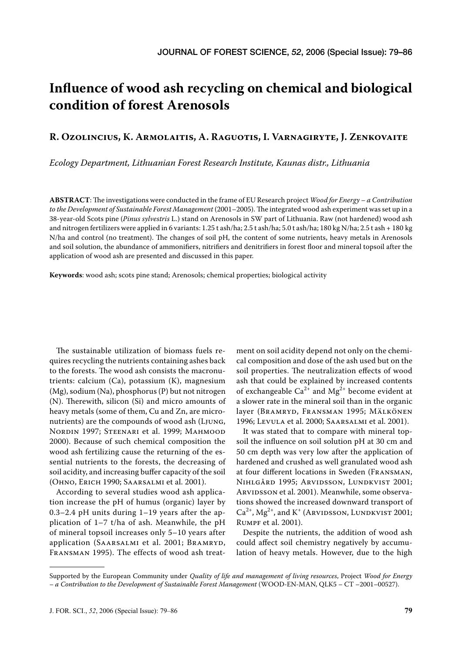# **Influence of wood ash recycling on chemical and biological condition of forest Arenosols**

# **R. OZOLINCIUS, K. ARMOLAITIS, A. RAGUOTIS, I. VARNAGIRYTE, J. ZENKOVAITE**

*Ecology Department, Lithuanian Forest Research Institute, Kaunas distr., Lithuania*

**ABSTRACT**: The investigations were conducted in the frame of EU Research project *Wood for Energy – a Contribution to the Development of Sustainable Forest Management* (2001–2005). The integrated wood ash experiment was set up in a 38-year-old Scots pine (*Pinus sylvestris* L.) stand on Arenosols in SW part of Lithuania. Raw (not hardened) wood ash and nitrogen fertilizers were applied in 6 variants: 1.25 t ash/ha; 2.5 t ash/ha; 5.0 t ash/ha; 180 kg N/ha; 2.5 t ash + 180 kg N/ha and control (no treatment). The changes of soil pH, the content of some nutrients, heavy metals in Arenosols and soil solution, the abundance of ammonifiers, nitrifiers and denitrifiers in forest floor and mineral topsoil after the application of wood ash are presented and discussed in this paper.

**Keywords**: wood ash; scots pine stand; Arenosols; chemical properties; biological activity

The sustainable utilization of biomass fuels requires recycling the nutrients containing ashes back to the forests. The wood ash consists the macronutrients: calcium (Ca), potassium (K), magnesium (Mg), sodium (Na), phosphorus (P) but not nitrogen (N). Therewith, silicon (Si) and micro amounts of heavy metals (some of them, Cu and Zn, are micronutrients) are the compounds of wood ash (LJUNG, NORDIN 1997; STEENARI et al. 1999; MAHMOOD 2000). Because of such chemical composition the wood ash fertilizing cause the returning of the essential nutrients to the forests, the decreasing of soil acidity, and increasing buffer capacity of the soil (OHNO, ERICH 1990; SAARSALMI et al. 2001).

According to several studies wood ash application increase the pH of humus (organic) layer by 0.3–2.4 pH units during 1–19 years after the application of 1–7 t/ha of ash. Meanwhile, the pH of mineral topsoil increases only 5–10 years after application (SAARSALMI et al. 2001; BRAMRYD, FRANSMAN 1995). The effects of wood ash treat-

ment on soil acidity depend not only on the chemical composition and dose of the ash used but on the soil properties. The neutralization effects of wood ash that could be explained by increased contents of exchangeable  $Ca^{2+}$  and Mg<sup>2+</sup> become evident at a slower rate in the mineral soil than in the organic layer (BRAMRYD, FRANSMAN 1995; MÄLKÖNEN 1996; LEVULA et al. 2000; SAARSALMI et al. 2001).

It was stated that to compare with mineral topsoil the influence on soil solution pH at 30 cm and 50 cm depth was very low after the application of hardened and crushed as well granulated wood ash at four different locations in Sweden (FRANSMAN, NIHLGÅRD 1995; ARVIDSSON, LUNDKVIST 2001; ARVIDSSON et al. 2001). Meanwhile, some observations showed the increased downward transport of  $Ca^{2+}$ , Mg<sup>2+</sup>, and K<sup>+</sup> (ARVIDSSON, LUNDKVIST 2001; RUMPF et al. 2001).

Despite the nutrients, the addition of wood ash could affect soil chemistry negatively by accumulation of heavy metals. However, due to the high

Supported by the European Community under *Quality of life and management of living resources*, Project *Wood for Energy – a Contribution to the Development of Sustainable Forest Management* (WOOD-EN-MAN, QLK5 – CT –2001–00527).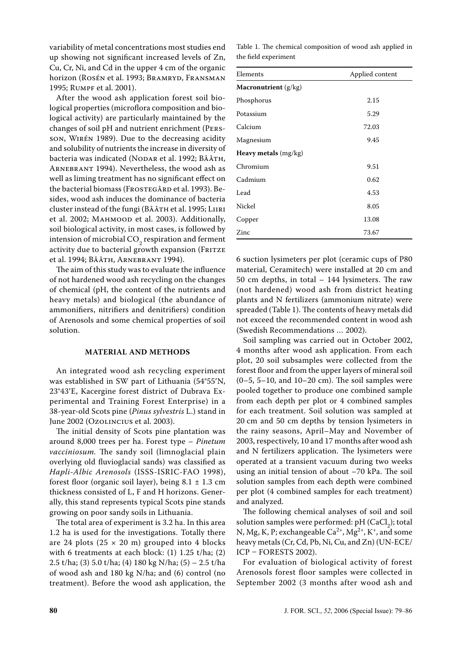variability of metal concentrations most studies end up showing not significant increased levels of Zn, Cu, Cr, Ni, and Cd in the upper 4 cm of the organic horizon (ROSÉN et al. 1993; BRAMRYD, FRANSMAN 1995; RUMPF et al. 2001).

After the wood ash application forest soil biological properties (microflora composition and biological activity) are particularly maintained by the changes of soil pH and nutrient enrichment (PERS-SON, WIRÉN 1989). Due to the decreasing acidity and solubility of nutrients the increase in diversity of bacteria was indicated (NODAR et al. 1992; BÅÅTH, ARNEBRANT 1994). Nevertheless, the wood ash as well as liming treatment has no significant effect on the bacterial biomass (FROSTEGÅRD et al. 1993). Besides, wood ash induces the dominance of bacteria cluster instead of the fungi (BÅÅTH et al. 1995; LIIRI et al. 2002; MAHMOOD et al. 2003). Additionally, soil biological activity, in most cases, is followed by intension of microbial  $CO_2$  respiration and ferment activity due to bacterial growth expansion (FRITZE et al. 1994; BÅÅTH, ARNEBRANT 1994).

The aim of this study was to evaluate the influence of not hardened wood ash recycling on the changes of chemical (pH, the content of the nutrients and heavy metals) and biological (the abundance of ammonifiers, nitrifiers and denitrifiers) condition of Arenosols and some chemical properties of soil solution.

### **MATERIAL AND METHODS**

An integrated wood ash recycling experiment was established in SW part of Lithuania (54°55′N, 23°43′E, Kacergine forest district of Dubrava Experimental and Training Forest Enterprise) in a 38-year-old Scots pine (*Pinus sylvestris* L.) stand in June 2002 (OZOLINCIUS et al. 2003).

The initial density of Scots pine plantation was around 8,000 trees per ha. Forest type – *Pinetum vacciniosum.* The sandy soil (limnoglacial plain overlying old fluvioglacial sands) was classified as *Hapli-Albic Arenosols* (ISSS-ISRIC-FAO 1998), forest floor (organic soil layer), being  $8.1 \pm 1.3$  cm thickness consisted of L, F and H horizons. Generally, this stand represents typical Scots pine stands growing on poor sandy soils in Lithuania.

The total area of experiment is 3.2 ha. In this area 1.2 ha is used for the investigations. Totally there are 24 plots  $(25 \times 20 \text{ m})$  grouped into 4 blocks with 6 treatments at each block: (1) 1.25 t/ha; (2) 2.5 t/ha; (3) 5.0 t/ha; (4) 180 kg N/ha; (5) – 2.5 t/ha of wood ash and 180 kg N/ha; and (6) control (no treatment). Before the wood ash application, the

|                      |  | Table 1. The chemical composition of wood ash applied in |  |  |
|----------------------|--|----------------------------------------------------------|--|--|
| the field experiment |  |                                                          |  |  |

| Elements                      | Applied content |  |  |  |  |  |
|-------------------------------|-----------------|--|--|--|--|--|
| <b>Macronutrient</b> (g/kg)   |                 |  |  |  |  |  |
| Phosphorus                    | 2.15            |  |  |  |  |  |
| Potassium                     | 5.29            |  |  |  |  |  |
| Calcium                       | 72.03           |  |  |  |  |  |
| Magnesium                     | 9.45            |  |  |  |  |  |
| <b>Heavy metals</b> $(mg/kg)$ |                 |  |  |  |  |  |
| Chromium                      | 9.51            |  |  |  |  |  |
| Cadmium                       | 0.62            |  |  |  |  |  |
| Lead                          | 4.53            |  |  |  |  |  |
| Nickel                        | 8.05            |  |  |  |  |  |
| Copper                        | 13.08           |  |  |  |  |  |
| Zinc                          | 73.67           |  |  |  |  |  |

6 suction lysimeters per plot (ceramic cups of P80 material, Ceramitech) were installed at 20 cm and 50 cm depths, in total – 144 lysimeters. The raw (not hardened) wood ash from district heating plants and N fertilizers (ammonium nitrate) were spreaded (Table 1). The contents of heavy metals did not exceed the recommended content in wood ash (Swedish Recommendations … 2002).

Soil sampling was carried out in October 2002, 4 months after wood ash application. From each plot, 20 soil subsamples were collected from the forest floor and from the upper layers of mineral soil  $(0-5, 5-10,$  and  $10-20$  cm). The soil samples were pooled together to produce one combined sample from each depth per plot or 4 combined samples for each treatment. Soil solution was sampled at 20 cm and 50 cm depths by tension lysimeters in the rainy seasons, April–May and November of 2003, respectively, 10 and 17 months after wood ash and N fertilizers application. The lysimeters were operated at a transient vacuum during two weeks using an initial tension of about –70 kPa. The soil solution samples from each depth were combined per plot (4 combined samples for each treatment) and analyzed.

The following chemical analyses of soil and soil solution samples were performed:  $pH$  (CaCl<sub>2</sub>); total N, Mg, K, P; exchangeable  $Ca^{2+}$ , Mg<sup>2+</sup>, K<sup>+</sup>, and some heavy metals (Cr, Cd, Pb, Ni, Cu, and Zn) (UN-ECE/ ICP – FORESTS 2002).

For evaluation of biological activity of forest Arenosols forest floor samples were collected in September 2002 (3 months after wood ash and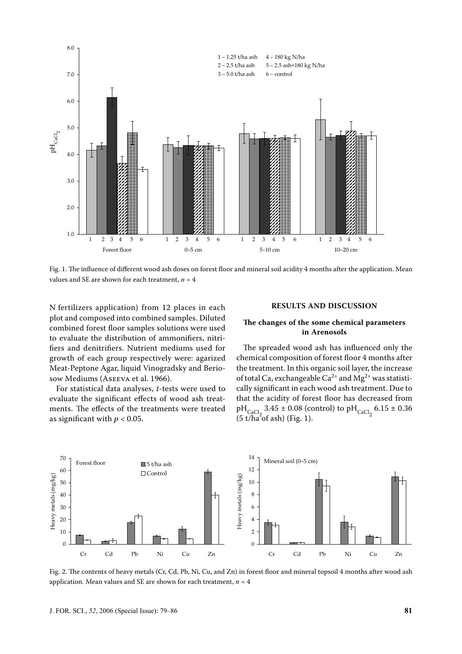

Fig. 1. The influence of different wood ash doses on forest floor and mineral soil acidity 4 months after the application. Mean values and SE are shown for each treatment,  $n = 4$ 

N fertilizers application) from 12 places in each plot and composed into combined samples. Diluted combined forest floor samples solutions were used to evaluate the distribution of ammonifiers, nitrifiers and denitrifiers. Nutrient mediums used for growth of each group respectively were: agarized Meat-Peptone Agar, liquid Vinogradsky and Beriosow Mediums (ASEEVA et al. 1966).

For statistical data analyses, *t*-tests were used to evaluate the significant effects of wood ash treatments. The effects of the treatments were treated as significant with  $p < 0.05$ .

#### **RESULTS AND DISCUSSION**

# **The changes of the some chemical parameters in Arenosols**

The spreaded wood ash has influenced only the chemical composition of forest floor 4 months after the treatment. In this organic soil layer, the increase of total Ca, exchangeable  $Ca^{2+}$  and  $Mg^{2+}$  was statistically significant in each wood ash treatment. Due to that the acidity of forest floor has decreased from  $pH_{\text{CaCl}_2}$  3.45 ± 0.08 (control) to  $pH_{\text{CaCl}_2}$  6.15 ± 0.36  $(5 \frac{\text{cm}}{\text{tha}}^2 \text{of } \text{ash})$  (Fig. 1).



Fig. 2. The contents of heavy metals (Cr, Cd, Pb, Ni, Cu, and Zn) in forest floor and mineral topsoil 4 months after wood ash application. Mean values and SE are shown for each treatment,  $n = 4$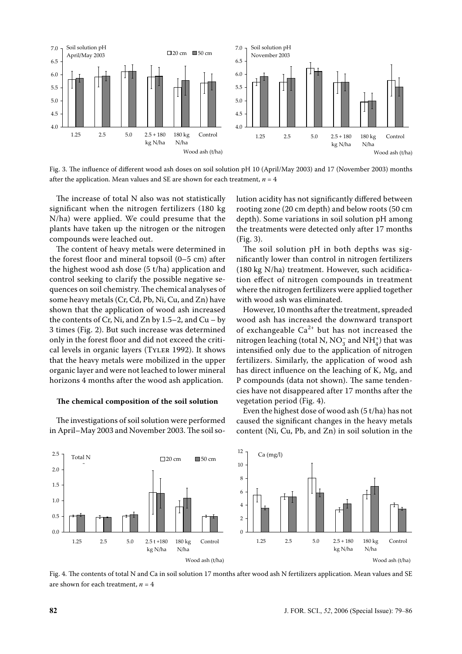

Fig. 3. The influence of different wood ash doses on soil solution pH 10 (April/May 2003) and 17 (November 2003) months after the application. Mean values and SE are shown for each treatment,  $n = 4$ 

The increase of total N also was not statistically significant when the nitrogen fertilizers (180 kg N/ha) were applied. We could presume that the plants have taken up the nitrogen or the nitrogen compounds were leached out.

The content of heavy metals were determined in the forest floor and mineral topsoil (0–5 cm) after the highest wood ash dose (5 t/ha) application and control seeking to clarify the possible negative sequences on soil chemistry. The chemical analyses of some heavy metals (Cr, Cd, Pb, Ni, Cu, and Zn) have shown that the application of wood ash increased the contents of Cr, Ni, and Zn by  $1.5-2$ , and Cu – by 3 times (Fig. 2). But such increase was determined only in the forest floor and did not exceed the critical levels in organic layers (TYLER 1992). It shows that the heavy metals were mobilized in the upper organic layer and were not leached to lower mineral horizons 4 months after the wood ash application.

#### **The chemical composition of the soil solution**

The investigations of soil solution were performed in April–May 2003 and November 2003. The soil solution acidity has not significantly differed between rooting zone (20 cm depth) and below roots (50 cm depth). Some variations in soil solution pH among the treatments were detected only after 17 months (Fig. 3).

The soil solution pH in both depths was significantly lower than control in nitrogen fertilizers (180 kg N/ha) treatment. However, such acidification effect of nitrogen compounds in treatment where the nitrogen fertilizers were applied together with wood ash was eliminated.

However, 10 months after the treatment, spreaded wood ash has increased the downward transport of exchangeable  $Ca^{2+}$  but has not increased the nitrogen leaching (total N, NO<sub>3</sub> and NH<sup>+</sup><sup>1</sup>) that was intensified only due to the application of nitrogen fertilizers. Similarly, the application of wood ash has direct influence on the leaching of K, Mg, and P compounds (data not shown). The same tendencies have not disappeared after 17 months after the vegetation period (Fig. 4).

Even the highest dose of wood ash (5 t/ha) has not caused the significant changes in the heavy metals content (Ni, Cu, Pb, and Zn) in soil solution in the



Fig. 4. The contents of total N and Ca in soil solution 17 months after wood ash N fertilizers application. Mean values and SE are shown for each treatment,  $n = 4$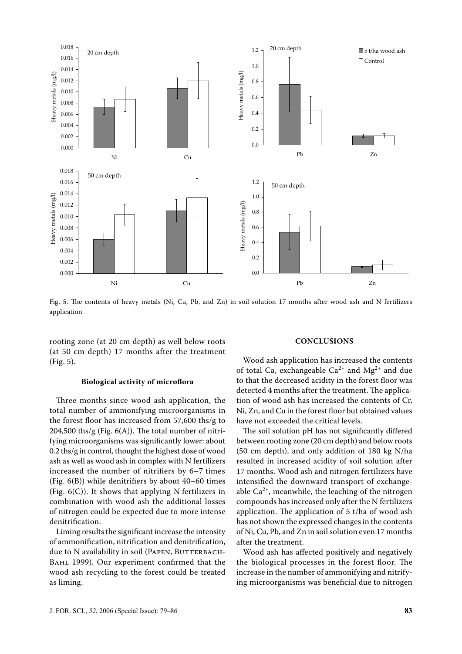

Fig. 5. The contents of heavy metals (Ni, Cu, Pb, and Zn) in soil solution 17 months after wood ash and N fertilizers application

rooting zone (at 20 cm depth) as well below roots (at 50 cm depth) 17 months after the treatment (Fig. 5).

#### **Biological activity of microflora**

Three months since wood ash application, the total number of ammonifying microorganisms in the forest floor has increased from 57,600 ths/g to  $204,500$  ths/g (Fig.  $6(A)$ ). The total number of nitrifying microorganisms was significantly lower: about 0.2 ths/g in control, thought the highest dose of wood ash as well as wood ash in complex with N fertilizers increased the number of nitrifiers by 6–7 times (Fig. 6(B)) while denitrifiers by about 40–60 times (Fig.  $6(C)$ ). It shows that applying N fertilizers in combination with wood ash the additional losses of nitrogen could be expected due to more intense denitrification.

Liming results the significant increase the intensity of ammonification, nitrification and denitrification, due to N availability in soil (PAPEN, BUTTERBACH-BAHL 1999). Our experiment confirmed that the wood ash recycling to the forest could be treated as liming.

#### **CONCLUSIONS**

Wood ash application has increased the contents of total Ca, exchangeable  $Ca^{2+}$  and  $Mg^{2+}$  and due to that the decreased acidity in the forest floor was detected 4 months after the treatment. The application of wood ash has increased the contents of Cr, Ni, Zn, and Cu in the forest floor but obtained values have not exceeded the critical levels.

The soil solution pH has not significantly differed between rooting zone (20 cm depth) and below roots (50 cm depth), and only addition of 180 kg N/ha resulted in increased acidity of soil solution after 17 months. Wood ash and nitrogen fertilizers have intensified the downward transport of exchangeable  $Ca^{2+}$ , meanwhile, the leaching of the nitrogen compounds has increased only after the N fertilizers application. The application of 5 t/ha of wood ash has not shown the expressed changes in the contents of Ni, Cu, Pb, and Zn in soil solution even 17 months after the treatment.

Wood ash has affected positively and negatively the biological processes in the forest floor. The increase in the number of ammonifying and nitrifying microorganisms was beneficial due to nitrogen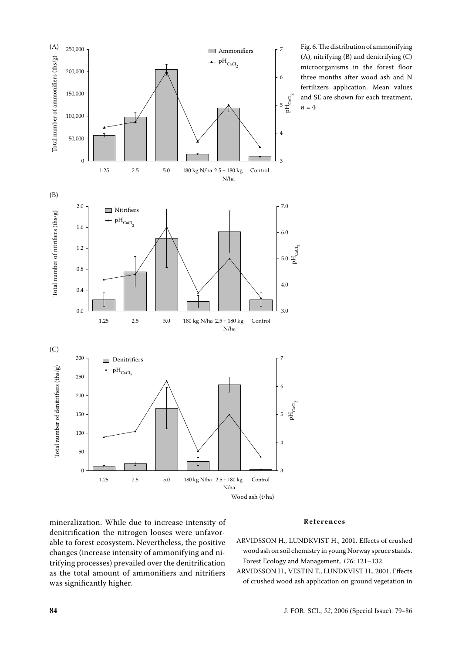

Fig. 6. The distribution of ammonifying (A), nitrifying (B) and denitrifying (C) microorganisms in the forest floor three months after wood ash and N fertilizers application. Mean values and SE are shown for each treatment,  $n = 4$ 

mineralization. While due to increase intensity of denitrification the nitrogen looses were unfavorable to forest ecosystem. Nevertheless, the positive changes (increase intensity of ammonifying and nitrifying processes) prevailed over the denitrification as the total amount of ammonifiers and nitrifiers was significantly higher.

## **R e f e r e n c e s**

- ARVIDSSON H., LUNDKVIST H., 2001. Effects of crushed wood ash on soil chemistry in young Norway spruce stands. Forest Ecology and Management, *176*: 121–132.
- ARVIDSSON H., VESTIN T., LUNDKVIST H., 2001. Effects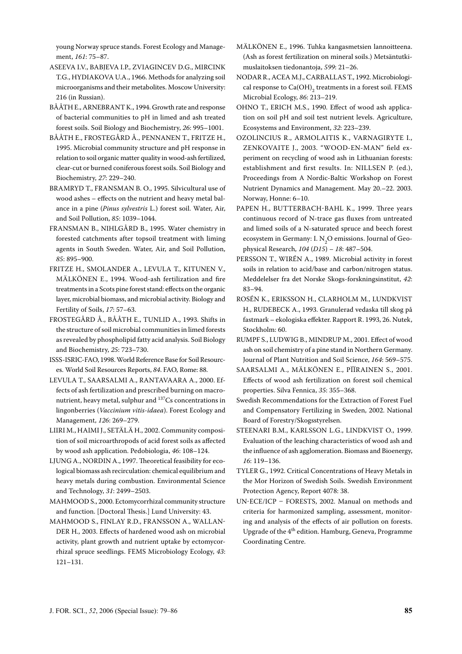young Norway spruce stands. Forest Ecology and Management, *161*: 75–87.

- ASEEVA I.V., BABJEVA I.P., ZVIAGINCEV D.G., MIRCINK T.G., HYDIAKOVA U.A., 1966. Methods for analyzing soil microorganisms and their metabolites. Moscow University: 216 (in Russian).
- BÅÅTH E., ARNEBRANT K., 1994. Growth rate and response of bacterial communities to pH in limed and ash treated forest soils. Soil Biology and Biochemistry, *26*: 995–1001.
- BÅÅTH E., FROSTEGÅRD Å., PENNANEN T., FRITZE H., 1995. Microbial community structure and pH response in relation to soil organic matter quality in wood-ash fertilized, clear-cut or burned coniferous forest soils. Soil Biology and Biochemistry, *27*: 229–240.
- BRAMRYD T., FRANSMAN B. O., 1995. Silvicultural use of wood ashes – effects on the nutrient and heavy metal balance in a pine (*Pinus sylvestris* L.) forest soil. Water, Air, and Soil Pollution, *85*: 1039–1044.
- FRANSMAN B., NIHLGÅRD B., 1995. Water chemistry in forested catchments after topsoil treatment with liming agents in South Sweden. Water, Air, and Soil Pollution, *85*: 895–900.
- FRITZE H., SMOLANDER A., LEVULA T., KITUNEN V., MÄLKÖNEN E., 1994. Wood-ash fertilization and fire treatments in a Scots pine forest stand: effects on the organic layer, microbial biomass, and microbial activity. Biology and Fertility of Soils, *17*: 57–63.
- FROSTEGÅRD Å., BÅÅTH E., TUNLID A., 1993. Shifts in the structure of soil microbial communities in limed forests as revealed by phospholipid fatty acid analysis. Soil Biology and Biochemistry, *25*: 723–730.
- ISSS-ISRIC-FAO, 1998. World Reference Base for Soil Resources. World Soil Resources Reports, *84*. FAO, Rome: 88.
- LEVULA T., SAARSALMI A., RANTAVAARA A., 2000. Effects of ash fertilization and prescribed burning on macronutrient, heavy metal, sulphur and 137Cs concentrations in lingonberries (*Vaccinium vitis-idaea*). Forest Ecology and Management, *126*: 269–279.
- LIIRI M., HAIMI J., SETÄLÄ H., 2002. Community composition of soil microarthropods of acid forest soils as affected by wood ash application. Pedobiologia, *46*: 108–124.
- LJUNG A., NORDIN A., 1997. Theoretical feasibility for ecological biomass ash recirculation: chemical equilibrium and heavy metals during combustion. Environmental Science and Technology, *31*: 2499–2503.
- MAHMOOD S., 2000. Ectomycorrhizal community structure and function. [Doctoral Thesis.] Lund University: 43.
- MAHMOOD S., FINLAY R.D., FRANSSON A., WALLAN-DER H., 2003. Effects of hardened wood ash on microbial activity, plant growth and nutrient uptake by ectomycorrhizal spruce seedlings. FEMS Microbiology Ecology, *43*: 121–131.
- MÄLKÖNEN E., 1996. Tuhka kangasmetsien lannoitteena. (Ash as forest fertilization on mineral soils.) Metsäntutkimuslaitoksen tiedonantoja, *599*: 21–26.
- NODAR R., ACEA M.J., CARBALLAS T., 1992. Microbiological response to  $\text{Ca(OH)}_{2}$  treatments in a forest soil. FEMS Microbial Ecology, *86*: 213–219.
- OHNO T., ERICH M.S., 1990. Effect of wood ash application on soil pH and soil test nutrient levels. Agriculture, Ecosystems and Environment, *32*: 223–239.
- OZOLINCIUS R., ARMOLAITIS K., VARNAGIRYTE I., ZENKOVAITE J., 2003. "WOOD-EN-MAN" field experiment on recycling of wood ash in Lithuanian forests: establishment and first results. In: NILLSEN P. (ed.), Proceedings from A Nordic-Baltic Workshop on Forest Nutrient Dynamics and Management. May 20.–22. 2003. Norway, Honne: 6–10.
- PAPEN H., BUTTERBACH-BAHL K., 1999. Three years continuous record of N-trace gas fluxes from untreated and limed soils of a N-saturated spruce and beech forest ecosystem in Germany: I.  $\text{N}_{2}\text{O}$  emissions. Journal of Geophysical Research, *104* (*D15*) *– 18*: 487–504.
- PERSSON T., WIRÉN A., 1989. Microbial activity in forest soils in relation to acid/base and carbon/nitrogen status. Meddelelser fra det Norske Skogs-forskningsinstitut, *42*: 83–94.
- ROSÉN K., ERIKSSON H., CLARHOLM M., LUNDKVIST H., RUDEBECK A., 1993. Granulerad vedaska till skog på fastmark – ekologiska effekter. Rapport R. 1993, 26. Nutek, Stockholm: 60.
- RUMPF S., LUDWIG B., MINDRUP M., 2001. Effect of wood ash on soil chemistry of a pine stand in Northern Germany. Journal of Plant Nutrition and Soil Science, *164*: 569–575.
- SAARSALMI A., MÄLKÖNEN E., PÏÏRAINEN S., 2001. Effects of wood ash fertilization on forest soil chemical properties. Silva Fennica, *35*: 355–368.
- Swedish Recommendations for the Extraction of Forest Fuel and Compensatory Fertilizing in Sweden, 2002. National Board of Forestry/Skogsstyrelsen.
- STEENARI B.M., KARLSSON L.G., LINDKVIST O., 1999. Evaluation of the leaching characteristics of wood ash and the influence of ash agglomeration. Biomass and Bioenergy, *16*: 119–136.
- TYLER G., 1992. Critical Concentrations of Heavy Metals in the Mor Horizon of Swedish Soils. Swedish Environment Protection Agency, Report 4078: 38.
- UN-ECE/ICP FORESTS, 2002. Manual on methods and criteria for harmonized sampling, assessment, monitoring and analysis of the effects of air pollution on forests. Upgrade of the  $4<sup>th</sup>$  edition. Hamburg, Geneva, Programme Coordinating Centre.